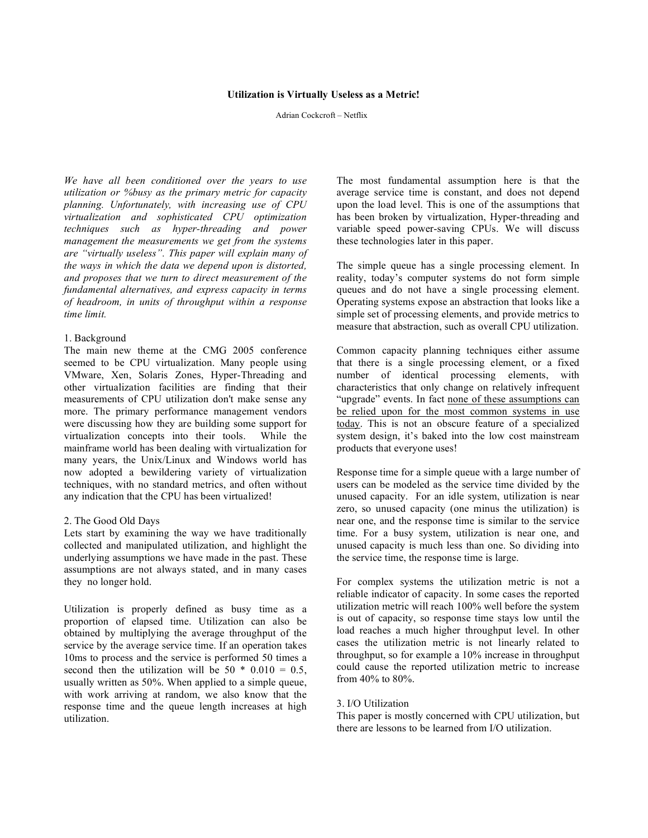#### **Utilization is Virtually Useless as a Metric!**

Adrian Cockcroft – Netflix

*We have all been conditioned over the years to use utilization or %busy as the primary metric for capacity planning. Unfortunately, with increasing use of CPU virtualization and sophisticated CPU optimization techniques such as hyper-threading and power management the measurements we get from the systems are "virtually useless". This paper will explain many of the ways in which the data we depend upon is distorted, and proposes that we turn to direct measurement of the fundamental alternatives, and express capacity in terms of headroom, in units of throughput within a response time limit.*

### 1. Background

The main new theme at the CMG 2005 conference seemed to be CPU virtualization. Many people using VMware, Xen, Solaris Zones, Hyper-Threading and other virtualization facilities are finding that their measurements of CPU utilization don't make sense any more. The primary performance management vendors were discussing how they are building some support for virtualization concepts into their tools. While the mainframe world has been dealing with virtualization for many years, the Unix/Linux and Windows world has now adopted a bewildering variety of virtualization techniques, with no standard metrics, and often without any indication that the CPU has been virtualized!

#### 2. The Good Old Days

Lets start by examining the way we have traditionally collected and manipulated utilization, and highlight the underlying assumptions we have made in the past. These assumptions are not always stated, and in many cases they no longer hold.

Utilization is properly defined as busy time as a proportion of elapsed time. Utilization can also be obtained by multiplying the average throughput of the service by the average service time. If an operation takes 10ms to process and the service is performed 50 times a second then the utilization will be  $50 * 0.010 = 0.5$ , usually written as 50%. When applied to a simple queue, with work arriving at random, we also know that the response time and the queue length increases at high utilization.

The most fundamental assumption here is that the average service time is constant, and does not depend upon the load level. This is one of the assumptions that has been broken by virtualization, Hyper-threading and variable speed power-saving CPUs. We will discuss these technologies later in this paper.

The simple queue has a single processing element. In reality, today's computer systems do not form simple queues and do not have a single processing element. Operating systems expose an abstraction that looks like a simple set of processing elements, and provide metrics to measure that abstraction, such as overall CPU utilization.

Common capacity planning techniques either assume that there is a single processing element, or a fixed number of identical processing elements, with characteristics that only change on relatively infrequent "upgrade" events. In fact none of these assumptions can be relied upon for the most common systems in use today. This is not an obscure feature of a specialized system design, it's baked into the low cost mainstream products that everyone uses!

Response time for a simple queue with a large number of users can be modeled as the service time divided by the unused capacity. For an idle system, utilization is near zero, so unused capacity (one minus the utilization) is near one, and the response time is similar to the service time. For a busy system, utilization is near one, and unused capacity is much less than one. So dividing into the service time, the response time is large.

For complex systems the utilization metric is not a reliable indicator of capacity. In some cases the reported utilization metric will reach 100% well before the system is out of capacity, so response time stays low until the load reaches a much higher throughput level. In other cases the utilization metric is not linearly related to throughput, so for example a 10% increase in throughput could cause the reported utilization metric to increase from 40% to 80%.

#### 3. I/O Utilization

This paper is mostly concerned with CPU utilization, but there are lessons to be learned from I/O utilization.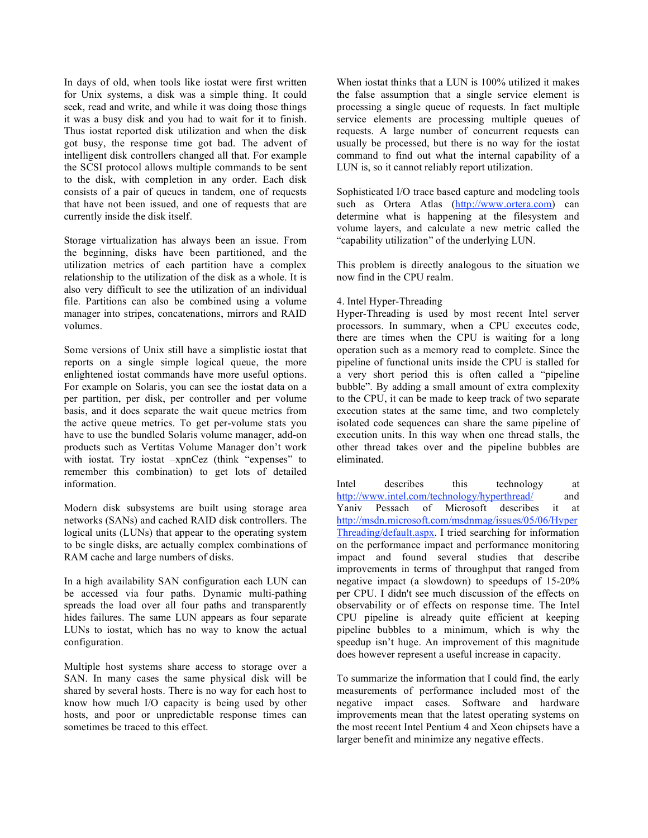In days of old, when tools like iostat were first written for Unix systems, a disk was a simple thing. It could seek, read and write, and while it was doing those things it was a busy disk and you had to wait for it to finish. Thus iostat reported disk utilization and when the disk got busy, the response time got bad. The advent of intelligent disk controllers changed all that. For example the SCSI protocol allows multiple commands to be sent to the disk, with completion in any order. Each disk consists of a pair of queues in tandem, one of requests that have not been issued, and one of requests that are currently inside the disk itself.

Storage virtualization has always been an issue. From the beginning, disks have been partitioned, and the utilization metrics of each partition have a complex relationship to the utilization of the disk as a whole. It is also very difficult to see the utilization of an individual file. Partitions can also be combined using a volume manager into stripes, concatenations, mirrors and RAID volumes.

Some versions of Unix still have a simplistic iostat that reports on a single simple logical queue, the more enlightened iostat commands have more useful options. For example on Solaris, you can see the iostat data on a per partition, per disk, per controller and per volume basis, and it does separate the wait queue metrics from the active queue metrics. To get per-volume stats you have to use the bundled Solaris volume manager, add-on products such as Vertitas Volume Manager don't work with iostat. Try iostat –xpnCez (think "expenses" to remember this combination) to get lots of detailed information.

Modern disk subsystems are built using storage area networks (SANs) and cached RAID disk controllers. The logical units (LUNs) that appear to the operating system to be single disks, are actually complex combinations of RAM cache and large numbers of disks.

In a high availability SAN configuration each LUN can be accessed via four paths. Dynamic multi-pathing spreads the load over all four paths and transparently hides failures. The same LUN appears as four separate LUNs to iostat, which has no way to know the actual configuration.

Multiple host systems share access to storage over a SAN. In many cases the same physical disk will be shared by several hosts. There is no way for each host to know how much I/O capacity is being used by other hosts, and poor or unpredictable response times can sometimes be traced to this effect.

When iostat thinks that a LUN is 100% utilized it makes the false assumption that a single service element is processing a single queue of requests. In fact multiple service elements are processing multiple queues of requests. A large number of concurrent requests can usually be processed, but there is no way for the iostat command to find out what the internal capability of a LUN is, so it cannot reliably report utilization.

Sophisticated I/O trace based capture and modeling tools such as Ortera Atlas (http://www.ortera.com) can determine what is happening at the filesystem and volume layers, and calculate a new metric called the "capability utilization" of the underlying LUN.

This problem is directly analogous to the situation we now find in the CPU realm.

## 4. Intel Hyper-Threading

Hyper-Threading is used by most recent Intel server processors. In summary, when a CPU executes code, there are times when the CPU is waiting for a long operation such as a memory read to complete. Since the pipeline of functional units inside the CPU is stalled for a very short period this is often called a "pipeline bubble". By adding a small amount of extra complexity to the CPU, it can be made to keep track of two separate execution states at the same time, and two completely isolated code sequences can share the same pipeline of execution units. In this way when one thread stalls, the other thread takes over and the pipeline bubbles are eliminated.

Intel describes this technology at http://www.intel.com/technology/hyperthread/ and Yaniv Pessach of Microsoft describes it at http://msdn.microsoft.com/msdnmag/issues/05/06/Hyper Threading/default.aspx. I tried searching for information on the performance impact and performance monitoring impact and found several studies that describe improvements in terms of throughput that ranged from negative impact (a slowdown) to speedups of 15-20% per CPU. I didn't see much discussion of the effects on observability or of effects on response time. The Intel CPU pipeline is already quite efficient at keeping pipeline bubbles to a minimum, which is why the speedup isn't huge. An improvement of this magnitude does however represent a useful increase in capacity.

To summarize the information that I could find, the early measurements of performance included most of the negative impact cases. Software and hardware improvements mean that the latest operating systems on the most recent Intel Pentium 4 and Xeon chipsets have a larger benefit and minimize any negative effects.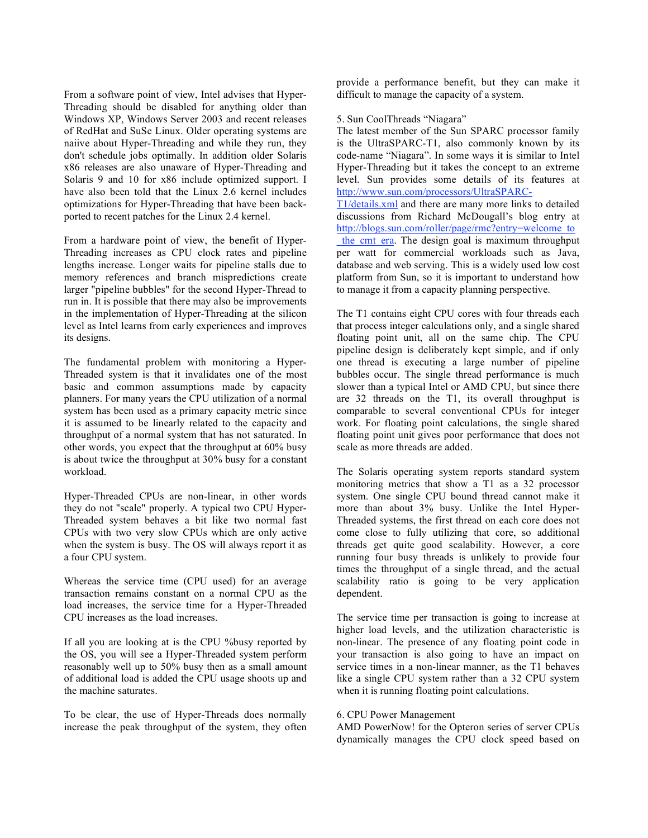From a software point of view, Intel advises that Hyper-Threading should be disabled for anything older than Windows XP, Windows Server 2003 and recent releases of RedHat and SuSe Linux. Older operating systems are naiive about Hyper-Threading and while they run, they don't schedule jobs optimally. In addition older Solaris x86 releases are also unaware of Hyper-Threading and Solaris 9 and 10 for x86 include optimized support. I have also been told that the Linux 2.6 kernel includes optimizations for Hyper-Threading that have been backported to recent patches for the Linux 2.4 kernel.

From a hardware point of view, the benefit of Hyper-Threading increases as CPU clock rates and pipeline lengths increase. Longer waits for pipeline stalls due to memory references and branch mispredictions create larger "pipeline bubbles" for the second Hyper-Thread to run in. It is possible that there may also be improvements in the implementation of Hyper-Threading at the silicon level as Intel learns from early experiences and improves its designs.

The fundamental problem with monitoring a Hyper-Threaded system is that it invalidates one of the most basic and common assumptions made by capacity planners. For many years the CPU utilization of a normal system has been used as a primary capacity metric since it is assumed to be linearly related to the capacity and throughput of a normal system that has not saturated. In other words, you expect that the throughput at 60% busy is about twice the throughput at 30% busy for a constant workload.

Hyper-Threaded CPUs are non-linear, in other words they do not "scale" properly. A typical two CPU Hyper-Threaded system behaves a bit like two normal fast CPUs with two very slow CPUs which are only active when the system is busy. The OS will always report it as a four CPU system.

Whereas the service time (CPU used) for an average transaction remains constant on a normal CPU as the load increases, the service time for a Hyper-Threaded CPU increases as the load increases.

If all you are looking at is the CPU %busy reported by the OS, you will see a Hyper-Threaded system perform reasonably well up to 50% busy then as a small amount of additional load is added the CPU usage shoots up and the machine saturates.

To be clear, the use of Hyper-Threads does normally increase the peak throughput of the system, they often

provide a performance benefit, but they can make it difficult to manage the capacity of a system.

### 5. Sun CoolThreads "Niagara"

The latest member of the Sun SPARC processor family is the UltraSPARC-T1, also commonly known by its code-name "Niagara". In some ways it is similar to Intel Hyper-Threading but it takes the concept to an extreme level. Sun provides some details of its features at http://www.sun.com/processors/UltraSPARC-

T1/details.xml and there are many more links to detailed discussions from Richard McDougall's blog entry at http://blogs.sun.com/roller/page/rmc?entry=welcome\_to the cmt era. The design goal is maximum throughput per watt for commercial workloads such as Java, database and web serving. This is a widely used low cost platform from Sun, so it is important to understand how to manage it from a capacity planning perspective.

The T1 contains eight CPU cores with four threads each that process integer calculations only, and a single shared floating point unit, all on the same chip. The CPU pipeline design is deliberately kept simple, and if only one thread is executing a large number of pipeline bubbles occur. The single thread performance is much slower than a typical Intel or AMD CPU, but since there are 32 threads on the T1, its overall throughput is comparable to several conventional CPUs for integer work. For floating point calculations, the single shared floating point unit gives poor performance that does not scale as more threads are added.

The Solaris operating system reports standard system monitoring metrics that show a T1 as a 32 processor system. One single CPU bound thread cannot make it more than about 3% busy. Unlike the Intel Hyper-Threaded systems, the first thread on each core does not come close to fully utilizing that core, so additional threads get quite good scalability. However, a core running four busy threads is unlikely to provide four times the throughput of a single thread, and the actual scalability ratio is going to be very application dependent.

The service time per transaction is going to increase at higher load levels, and the utilization characteristic is non-linear. The presence of any floating point code in your transaction is also going to have an impact on service times in a non-linear manner, as the T1 behaves like a single CPU system rather than a 32 CPU system when it is running floating point calculations.

#### 6. CPU Power Management

AMD PowerNow! for the Opteron series of server CPUs dynamically manages the CPU clock speed based on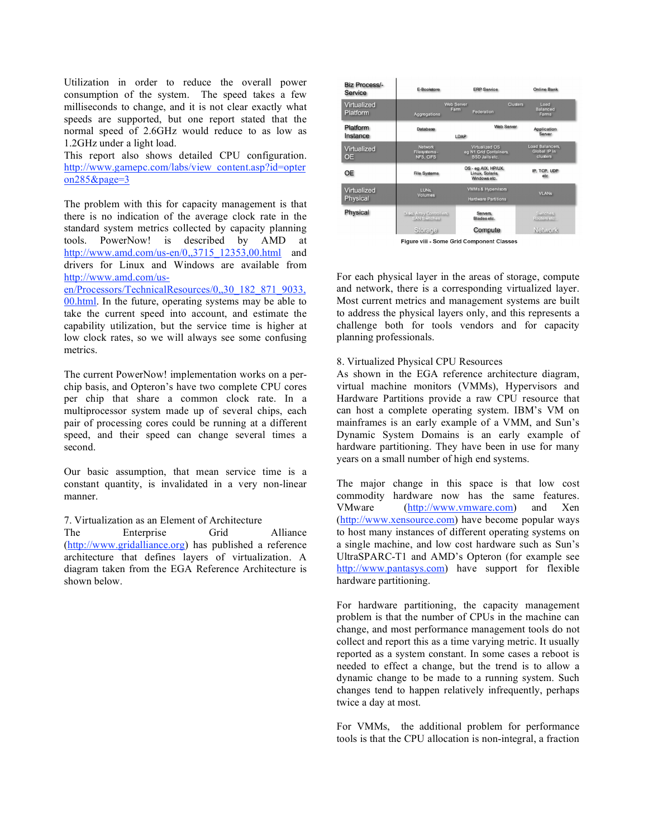Utilization in order to reduce the overall power consumption of the system. The speed takes a few milliseconds to change, and it is not clear exactly what speeds are supported, but one report stated that the normal speed of 2.6GHz would reduce to as low as 1.2GHz under a light load.

This report also shows detailed CPU configuration. http://www.gamepc.com/labs/view\_content.asp?id=opter on285&page=3

The problem with this for capacity management is that there is no indication of the average clock rate in the standard system metrics collected by capacity planning tools. PowerNow! is described by AMD at http://www.amd.com/us-en/0,,3715\_12353,00.html and drivers for Linux and Windows are available from http://www.amd.com/usen/Processors/TechnicalResources/0,,30\_182\_871\_9033,

00.html. In the future, operating systems may be able to take the current speed into account, and estimate the capability utilization, but the service time is higher at low clock rates, so we will always see some confusing metrics.

The current PowerNow! implementation works on a perchip basis, and Opteron's have two complete CPU cores per chip that share a common clock rate. In a multiprocessor system made up of several chips, each pair of processing cores could be running at a different speed, and their speed can change several times a second.

Our basic assumption, that mean service time is a constant quantity, is invalidated in a very non-linear manner.

7. Virtualization as an Element of Architecture The Enterprise Grid Alliance (http://www.gridalliance.org) has published a reference architecture that defines layers of virtualization. A diagram taken from the EGA Reference Architecture is shown below.



Figure vill - Some Grid Component Classes

For each physical layer in the areas of storage, compute and network, there is a corresponding virtualized layer. Most current metrics and management systems are built to address the physical layers only, and this represents a challenge both for tools vendors and for capacity planning professionals.

## 8. Virtualized Physical CPU Resources

As shown in the EGA reference architecture diagram, virtual machine monitors (VMMs), Hypervisors and Hardware Partitions provide a raw CPU resource that can host a complete operating system. IBM's VM on mainframes is an early example of a VMM, and Sun's Dynamic System Domains is an early example of hardware partitioning. They have been in use for many years on a small number of high end systems.

The major change in this space is that low cost commodity hardware now has the same features. VMware (http://www.vmware.com) and Xen (http://www.xensource.com) have become popular ways to host many instances of different operating systems on a single machine, and low cost hardware such as Sun's UltraSPARC-T1 and AMD's Opteron (for example see http://www.pantasys.com) have support for flexible hardware partitioning.

For hardware partitioning, the capacity management problem is that the number of CPUs in the machine can change, and most performance management tools do not collect and report this as a time varying metric. It usually reported as a system constant. In some cases a reboot is needed to effect a change, but the trend is to allow a dynamic change to be made to a running system. Such changes tend to happen relatively infrequently, perhaps twice a day at most.

For VMMs, the additional problem for performance tools is that the CPU allocation is non-integral, a fraction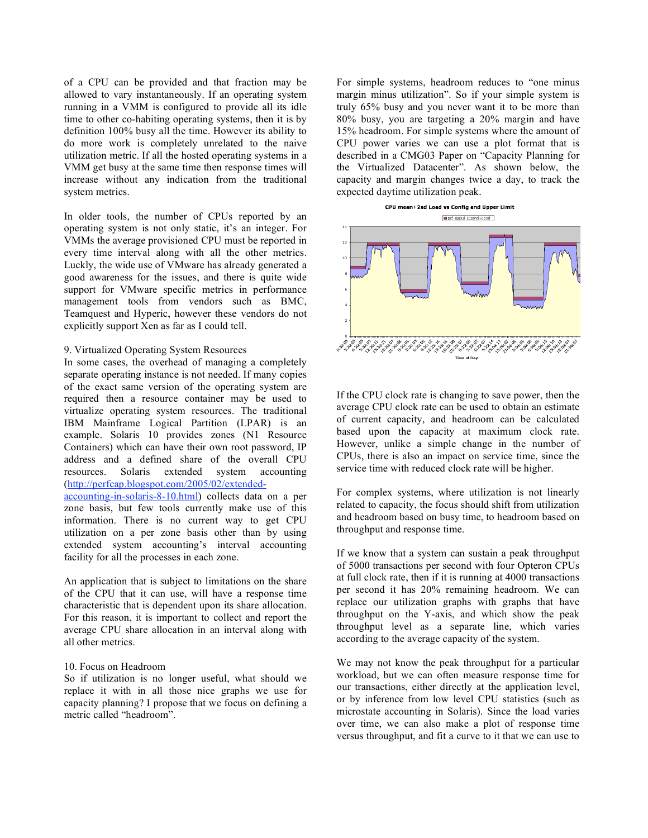of a CPU can be provided and that fraction may be allowed to vary instantaneously. If an operating system running in a VMM is configured to provide all its idle time to other co-habiting operating systems, then it is by definition 100% busy all the time. However its ability to do more work is completely unrelated to the naive utilization metric. If all the hosted operating systems in a VMM get busy at the same time then response times will increase without any indication from the traditional system metrics.

In older tools, the number of CPUs reported by an operating system is not only static, it's an integer. For VMMs the average provisioned CPU must be reported in every time interval along with all the other metrics. Luckly, the wide use of VMware has already generated a good awareness for the issues, and there is quite wide support for VMware specific metrics in performance management tools from vendors such as BMC, Teamquest and Hyperic, however these vendors do not explicitly support Xen as far as I could tell.

## 9. Virtualized Operating System Resources

In some cases, the overhead of managing a completely separate operating instance is not needed. If many copies of the exact same version of the operating system are required then a resource container may be used to virtualize operating system resources. The traditional IBM Mainframe Logical Partition (LPAR) is an example. Solaris 10 provides zones (N1 Resource Containers) which can have their own root password, IP address and a defined share of the overall CPU resources. Solaris extended system accounting (http://perfcap.blogspot.com/2005/02/extendedaccounting-in-solaris-8-10.html) collects data on a per

zone basis, but few tools currently make use of this information. There is no current way to get CPU utilization on a per zone basis other than by using extended system accounting's interval accounting facility for all the processes in each zone.

An application that is subject to limitations on the share of the CPU that it can use, will have a response time characteristic that is dependent upon its share allocation. For this reason, it is important to collect and report the average CPU share allocation in an interval along with all other metrics.

#### 10. Focus on Headroom

So if utilization is no longer useful, what should we replace it with in all those nice graphs we use for capacity planning? I propose that we focus on defining a metric called "headroom".

For simple systems, headroom reduces to "one minus margin minus utilization". So if your simple system is truly 65% busy and you never want it to be more than 80% busy, you are targeting a 20% margin and have 15% headroom. For simple systems where the amount of CPU power varies we can use a plot format that is described in a CMG03 Paper on "Capacity Planning for the Virtualized Datacenter". As shown below, the capacity and margin changes twice a day, to track the expected daytime utilization peak.



If the CPU clock rate is changing to save power, then the average CPU clock rate can be used to obtain an estimate of current capacity, and headroom can be calculated based upon the capacity at maximum clock rate. However, unlike a simple change in the number of CPUs, there is also an impact on service time, since the service time with reduced clock rate will be higher.

For complex systems, where utilization is not linearly related to capacity, the focus should shift from utilization and headroom based on busy time, to headroom based on throughput and response time.

If we know that a system can sustain a peak throughput of 5000 transactions per second with four Opteron CPUs at full clock rate, then if it is running at 4000 transactions per second it has 20% remaining headroom. We can replace our utilization graphs with graphs that have throughput on the Y-axis, and which show the peak throughput level as a separate line, which varies according to the average capacity of the system.

We may not know the peak throughput for a particular workload, but we can often measure response time for our transactions, either directly at the application level, or by inference from low level CPU statistics (such as microstate accounting in Solaris). Since the load varies over time, we can also make a plot of response time versus throughput, and fit a curve to it that we can use to